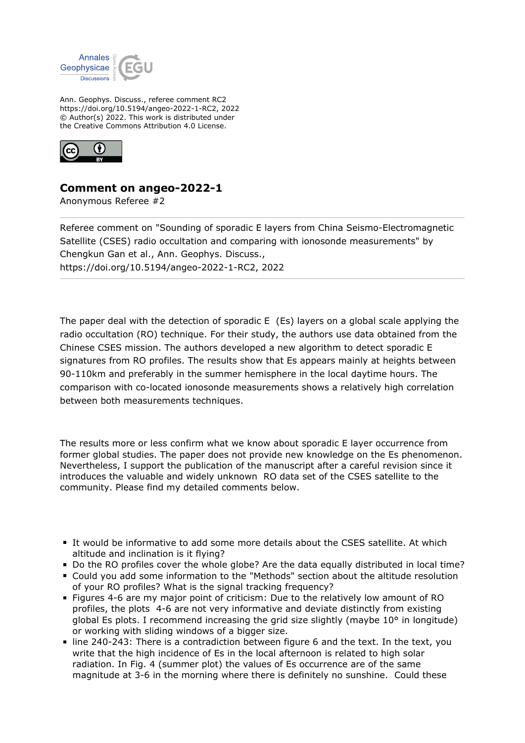

Ann. Geophys. Discuss., referee comment RC2 https://doi.org/10.5194/angeo-2022-1-RC2, 2022 © Author(s) 2022. This work is distributed under the Creative Commons Attribution 4.0 License.



## **Comment on angeo-2022-1**

Anonymous Referee #2

Referee comment on "Sounding of sporadic E layers from China Seismo-Electromagnetic Satellite (CSES) radio occultation and comparing with ionosonde measurements" by Chengkun Gan et al., Ann. Geophys. Discuss., https://doi.org/10.5194/angeo-2022-1-RC2, 2022

The paper deal with the detection of sporadic E (Es) layers on a global scale applying the radio occultation (RO) technique. For their study, the authors use data obtained from the Chinese CSES mission. The authors developed a new algorithm to detect sporadic E signatures from RO profiles. The results show that Es appears mainly at heights between 90-110km and preferably in the summer hemisphere in the local daytime hours. The comparison with co-located ionosonde measurements shows a relatively high correlation between both measurements techniques.

The results more or less confirm what we know about sporadic E layer occurrence from former global studies. The paper does not provide new knowledge on the Es phenomenon. Nevertheless, I support the publication of the manuscript after a careful revision since it introduces the valuable and widely unknown RO data set of the CSES satellite to the community. Please find my detailed comments below.

- It would be informative to add some more details about the CSES satellite. At which altitude and inclination is it flying?
- Do the RO profiles cover the whole globe? Are the data equally distributed in local time?
- Could you add some information to the "Methods" section about the altitude resolution of your RO profiles? What is the signal tracking frequency?
- Figures 4-6 are my major point of criticism: Due to the relatively low amount of RO profiles, the plots 4-6 are not very informative and deviate distinctly from existing global Es plots. I recommend increasing the grid size slightly (maybe 10° in longitude) or working with sliding windows of a bigger size.
- line 240-243: There is a contradiction between figure 6 and the text. In the text, you write that the high incidence of Es in the local afternoon is related to high solar radiation. In Fig. 4 (summer plot) the values of Es occurrence are of the same magnitude at 3-6 in the morning where there is definitely no sunshine. Could these